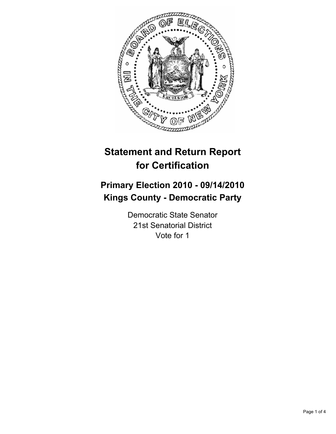

# **Statement and Return Report for Certification**

## **Primary Election 2010 - 09/14/2010 Kings County - Democratic Party**

Democratic State Senator 21st Senatorial District Vote for 1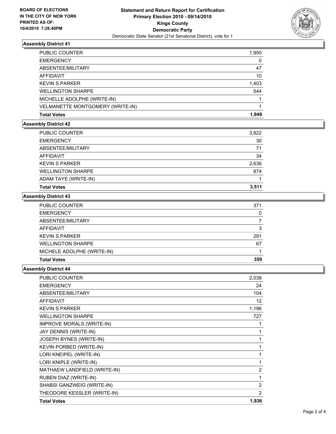

## **Assembly District 41**

| <b>Total Votes</b>               | 1.949 |
|----------------------------------|-------|
| VELMANETTE MONTGOMERY (WRITE-IN) |       |
| MICHELLE ADOLPHE (WRITE-IN)      |       |
| <b>WELLINGTON SHARPE</b>         | 544   |
| <b>KEVIN S PARKER</b>            | 1,403 |
| AFFIDAVIT                        | 10    |
| ABSENTEE/MILITARY                | 47    |
| <b>EMERGENCY</b>                 | 0     |
| <b>PUBLIC COUNTER</b>            | 1,950 |

#### **Assembly District 42**

| <b>PUBLIC COUNTER</b>    | 3,822 |
|--------------------------|-------|
| <b>EMERGENCY</b>         | 30    |
| ABSENTEE/MILITARY        | 71    |
| AFFIDAVIT                | 34    |
| <b>KEVIN S PARKER</b>    | 2,636 |
| <b>WELLINGTON SHARPE</b> | 874   |
| ADAM TAYE (WRITE-IN)     |       |
| <b>Total Votes</b>       | 3,511 |

#### **Assembly District 43**

| <b>PUBLIC COUNTER</b>      | 371 |
|----------------------------|-----|
| <b>EMERGENCY</b>           | 0   |
| ABSENTEE/MILITARY          |     |
| AFFIDAVIT                  | 3   |
| <b>KEVIN S PARKER</b>      | 291 |
| <b>WELLINGTON SHARPE</b>   | 67  |
| MICHELE ADOLPHE (WRITE-IN) |     |
| <b>Total Votes</b>         | 359 |

## **Assembly District 44**

| <b>PUBLIC COUNTER</b>            | 2,038          |
|----------------------------------|----------------|
| <b>EMERGENCY</b>                 | 24             |
| <b>ABSENTEE/MILITARY</b>         | 104            |
| <b>AFFIDAVIT</b>                 | 12             |
| <b>KEVIN S PARKER</b>            | 1,196          |
| <b>WELLINGTON SHARPE</b>         | 727            |
| <b>IMPROVE MORALS (WRITE-IN)</b> | 1              |
| JAY DENNIS (WRITE-IN)            |                |
| JOSEPH BYNES (WRITE-IN)          |                |
| <b>KEVIN PORBED (WRITE-IN)</b>   | 1              |
| LORI KNEIPEL (WRITE-IN)          | 1              |
| LORI KNIPLE (WRITE-IN)           | 1              |
| MATHAEW LANDFIELD (WRITE-IN)     | $\overline{2}$ |
| RUBEN DIAZ (WRITE-IN)            | 1              |
| SHABSI GANZWEIG (WRITE-IN)       | $\overline{2}$ |
| THEODORE KESSLER (WRITE-IN)      | $\overline{2}$ |
| <b>Total Votes</b>               | 1,936          |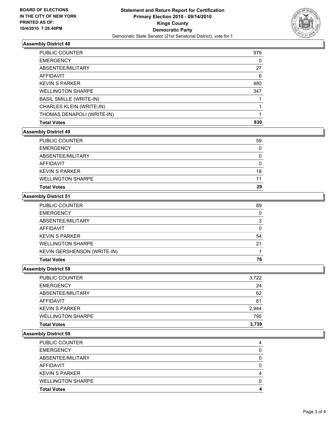

## **Assembly District 48**

| CHARLES KLEIN (WRITE-IN)                                   |     |
|------------------------------------------------------------|-----|
| <b>WELLINGTON SHARPE</b><br><b>BASIL SMILLE (WRITE-IN)</b> | 347 |
| <b>KEVIN S PARKER</b>                                      | 480 |
| AFFIDAVIT                                                  | 6   |
| ABSENTEE/MILITARY                                          | 27  |
| <b>EMERGENCY</b>                                           | 0   |
| PUBLIC COUNTER                                             | 979 |

## **Assembly District 49**

| 11       |
|----------|
|          |
| 18       |
| 0        |
| $\Omega$ |
| 0        |
| 59       |
|          |

#### **Assembly District 51**

| <b>PUBLIC COUNTER</b>              | 89 |
|------------------------------------|----|
| <b>EMERGENCY</b>                   | 0  |
| ABSENTEE/MILITARY                  | 3  |
| AFFIDAVIT                          | 0  |
| <b>KEVIN S PARKER</b>              | 54 |
| <b>WELLINGTON SHARPE</b>           | 21 |
| <b>KEVIN GERSHENSON (WRITE-IN)</b> |    |
| <b>Total Votes</b>                 | 76 |

## **Assembly District 58**

| <b>Total Votes</b>       | 3.739 |
|--------------------------|-------|
| <b>WELLINGTON SHARPE</b> | 795   |
| <b>KEVIN S PARKER</b>    | 2.944 |
| AFFIDAVIT                | 61    |
| ABSENTEE/MILITARY        | 62    |
| <b>EMERGENCY</b>         | 24    |
| <b>PUBLIC COUNTER</b>    | 3.722 |

#### **Assembly District 59**

| <b>Total Votes</b>       | 4 |
|--------------------------|---|
|                          |   |
| <b>WELLINGTON SHARPE</b> |   |
| <b>KEVIN S PARKER</b>    | 4 |
| AFFIDAVIT                | 0 |
| ABSENTEE/MILITARY        | 0 |
| <b>EMERGENCY</b>         |   |
| <b>PUBLIC COUNTER</b>    | 4 |